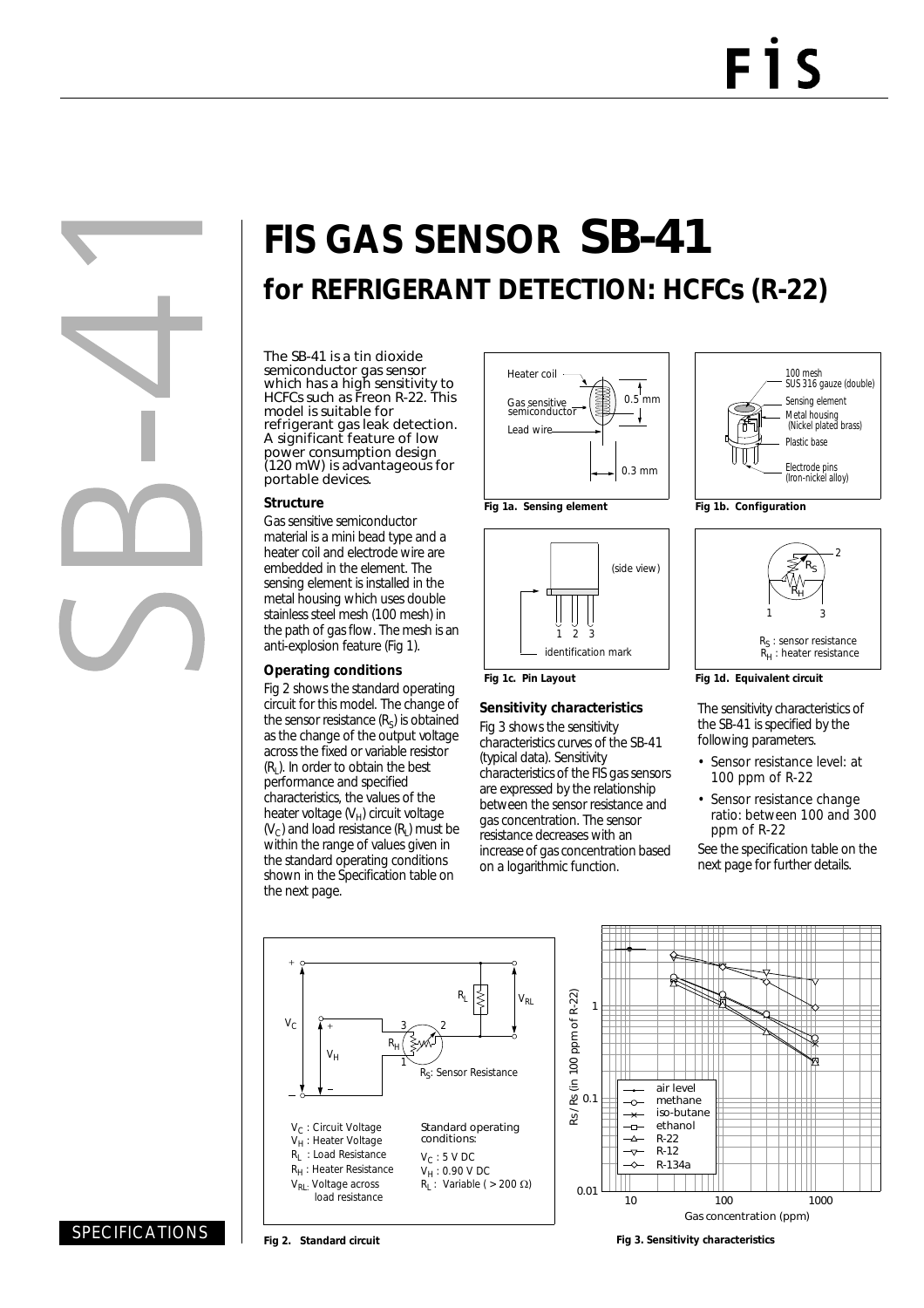# **FIS GAS SENSOR** SB-41 **for REFRIGERANT DETECTION: HCFCs (R-22)**

The SB-41 is a tin dioxide semiconductor gas sensor which has a high sensitivity to HCFCs such as Freon R-22. This model is suitable for refrigerant gas leak detection. A significant feature of low power consumption design (120 mW) is advantageous for portable devices.

#### **Structure**

Gas sensitive semiconductor material is a mini bead type and a heater coil and electrode wire are embedded in the element. The sensing element is installed in the metal housing which uses double stainless steel mesh (100 mesh) in the path of gas flow. The mesh is an anti-explosion feature (Fig 1).

#### **Operating conditions**

Fig 2 shows the standard operating circuit for this model. The change of the sensor resistance  $(R<sub>S</sub>)$  is obtained as the change of the output voltage across the fixed or variable resistor  $(R<sub>1</sub>)$ . In order to obtain the best performance and specified characteristics, the values of the heater voltage  $(V_H)$  circuit voltage  $(V<sub>c</sub>)$  and load resistance  $(R<sub>i</sub>)$  must be within the range of values given in the standard operating conditions shown in the Specification table on the next page.





### **Sensitivity characteristics**

Fig 3 shows the sensitivity characteristics curves of the SB-41 (typical data). Sensitivity characteristics of the FIS gas sensors are expressed by the relationship between the sensor resistance and gas concentration. The sensor resistance decreases with an increase of gas concentration based on a logarithmic function.





**Fig 1d. Equivalent circuit**

The sensitivity characteristics of the SB-41 is specified by the following parameters.

- Sensor resistance level: at 100 ppm of R-22
- Sensor resistance change ratio: between 100 and 300 ppm of R-22

See the specification table on the next page for further details.





**Fig 2. Standard circuit Fig 3. Sensitivity characteristics**

## SPECIFICATIONS